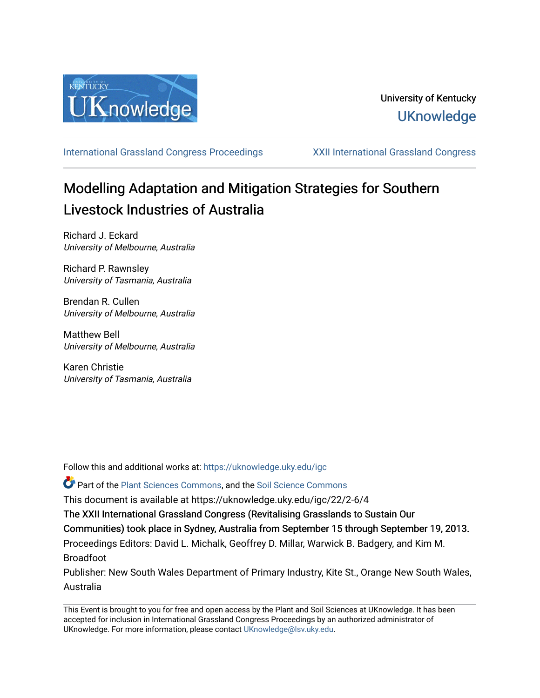

[International Grassland Congress Proceedings](https://uknowledge.uky.edu/igc) [XXII International Grassland Congress](https://uknowledge.uky.edu/igc/22) 

# Modelling Adaptation and Mitigation Strategies for Southern Livestock Industries of Australia

Richard J. Eckard University of Melbourne, Australia

Richard P. Rawnsley University of Tasmania, Australia

Brendan R. Cullen University of Melbourne, Australia

Matthew Bell University of Melbourne, Australia

Karen Christie University of Tasmania, Australia

Follow this and additional works at: [https://uknowledge.uky.edu/igc](https://uknowledge.uky.edu/igc?utm_source=uknowledge.uky.edu%2Figc%2F22%2F2-6%2F4&utm_medium=PDF&utm_campaign=PDFCoverPages) 

Part of the [Plant Sciences Commons](http://network.bepress.com/hgg/discipline/102?utm_source=uknowledge.uky.edu%2Figc%2F22%2F2-6%2F4&utm_medium=PDF&utm_campaign=PDFCoverPages), and the [Soil Science Commons](http://network.bepress.com/hgg/discipline/163?utm_source=uknowledge.uky.edu%2Figc%2F22%2F2-6%2F4&utm_medium=PDF&utm_campaign=PDFCoverPages) 

This document is available at https://uknowledge.uky.edu/igc/22/2-6/4

The XXII International Grassland Congress (Revitalising Grasslands to Sustain Our

Communities) took place in Sydney, Australia from September 15 through September 19, 2013.

Proceedings Editors: David L. Michalk, Geoffrey D. Millar, Warwick B. Badgery, and Kim M. Broadfoot

Publisher: New South Wales Department of Primary Industry, Kite St., Orange New South Wales, Australia

This Event is brought to you for free and open access by the Plant and Soil Sciences at UKnowledge. It has been accepted for inclusion in International Grassland Congress Proceedings by an authorized administrator of UKnowledge. For more information, please contact [UKnowledge@lsv.uky.edu](mailto:UKnowledge@lsv.uky.edu).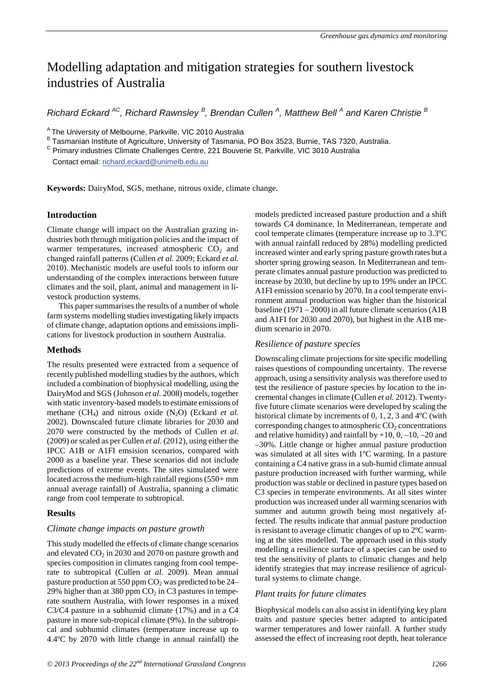## Modelling adaptation and mitigation strategies for southern livestock industries of Australia

*Richard Eckard*<sup>AC</sup>, Richard Rawnsley<sup>B</sup>, Brendan Cullen<sup>A</sup>, Matthew Bell<sup>A</sup> and Karen Christie<sup>B</sup>

<sup>A</sup> The University of Melbourne, Parkville, VIC 2010 Australia

B Tasmanian Institute of Agriculture, University of Tasmania, PO Box 3523, Burnie, TAS 7320, Australia.

<sup>C</sup> Primary industries Climate Challenges Centre, 221 Bouverie St, Parkville, VIC 3010 Australia

Contact email: richard.eckard@unimelb.edu.au

**Keywords:** DairyMod, SGS, methane, nitrous oxide, climate change*.* 

## **Introduction**

Climate change will impact on the Australian grazing industries both through mitigation policies and the impact of warmer temperatures, increased atmospheric  $CO<sub>2</sub>$  and changed rainfall patterns (Cullen *et al.* 2009; Eckard *et al.* 2010). Mechanistic models are useful tools to inform our understanding of the complex interactions between future climates and the soil, plant, animal and management in livestock production systems.

This paper summarises the results of a number of whole farm systems modelling studies investigating likely impacts of climate change, adaptation options and emissions implications for livestock production in southern Australia.

## **Methods**

The results presented were extracted from a sequence of recently published modelling studies by the authors, which included a combination of biophysical modelling, using the DairyMod and SGS (Johnson *et al.* 2008) models, together with static inventory-based models to estimate emissions of methane  $(CH_4)$  and nitrous oxide  $(N_2O)$  (Eckard *et al.*) 2002). Downscaled future climate libraries for 2030 and 2070 were constructed by the methods of Cullen *et al.* (2009) or scaled as per Cullen *et al.* (2012), using either the IPCC A1B or A1FI emsision scenarios, compared with 2000 as a baseline year. These scenarios did not include predictions of extreme events. The sites simulated were located across the medium-high rainfall regions (550+ mm annual average rainfall) of Australia, spanning a climatic range from cool temperate to subtropical.

## **Results**

## *Climate change impacts on pasture growth*

This study modelled the effects of climate change scenarios and elevated  $CO<sub>2</sub>$  in 2030 and 2070 on pasture growth and species composition in climates ranging from cool temperate to subtropical (Cullen *at al.* 2009). Mean annual pasture production at 550 ppm  $CO<sub>2</sub>$  was predicted to be 24– 29% higher than at 380 ppm  $CO<sub>2</sub>$  in C3 pastures in temperate southern Australia, with lower responses in a mixed C3/C4 pasture in a subhumid climate (17%) and in a C4 pasture in more sub-tropical climate (9%). In the subtropical and subhumid climates (temperature increase up to 4.4ºC by 2070 with little change in annual rainfall) the

models predicted increased pasture production and a shift towards C4 dominance. In Mediterranean, temperate and cool temperate climates (temperature increase up to 3.3ºC with annual rainfall reduced by 28%) modelling predicted increased winter and early spring pasture growth rates but a shorter spring growing season. In Mediterranean and temperate climates annual pasture production was predicted to increase by 2030, but decline by up to 19% under an IPCC A1FI emission scenario by 2070. In a cool temperate environment annual production was higher than the historical baseline (1971 – 2000) in all future climate scenarios (A1B and A1FI for 2030 and 2070), but highest in the A1B medium scenario in 2070.

## *Resilience of pasture species*

Downscaling climate projections for site specific modelling raises questions of compounding uncertainty. The reverse approach, using a sensitivity analysis was therefore used to test the resilience of pasture species by location to the incremental changes in climate (Cullen *et al.* 2012). Twentyfive future climate scenarios were developed by scaling the historical climate by increments of 0, 1, 2, 3 and 4<sup>o</sup>C (with corresponding changes to atmospheric  $CO<sub>2</sub>$  concentrations and relative humidity) and rainfall by  $+10$ , 0,  $-10$ ,  $-20$  and –30%. Little change or higher annual pasture production was simulated at all sites with 1ºC warming. In a pasture containing a C4 native grass in a sub-humid climate annual pasture production increased with further warming, while production was stable or declined in pasture types based on C3 species in temperate environments. At all sites winter production was increased under all warming scenarios with summer and autumn growth being most negatively affected. The results indicate that annual pasture production is resistant to average climatic changes of up to 2ºC warming at the sites modelled. The approach used in this study modelling a resilience surface of a species can be used to test the sensitivity of plants to climatic changes and help identify strategies that may increase resilience of agricultural systems to climate change.

## *Plant traits for future climates*

Biophysical models can also assist in identifying key plant traits and pasture species better adapted to anticipated warmer temperatures and lower rainfall. A further study assessed the effect of increasing root depth, heat tolerance